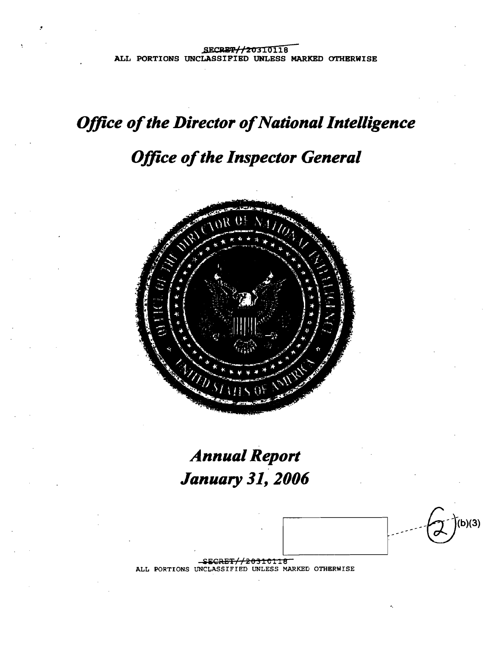# **Office of the Director of National Intelligence**

# **Office of the Inspector General**



# **Annual Report January 31, 2006**

b) $(3)$ <del>/20310118</del> ----

ALL PORTIONS UNCLASSIFIED UNLESS MARKED OTHERWISE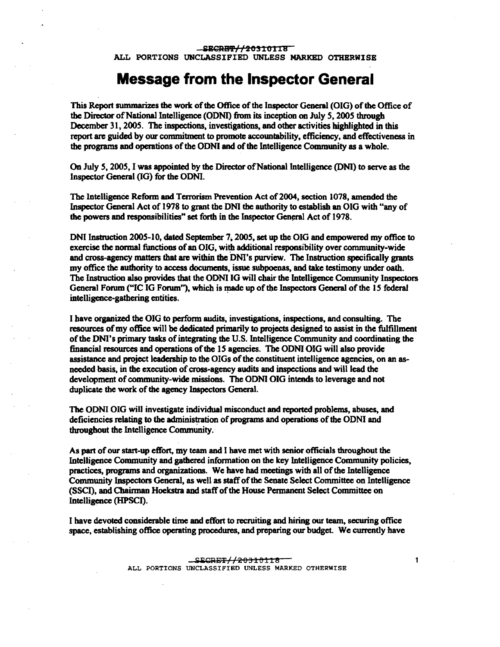ALL PORTIONS UNCLASSIFIED UNLESS MARKED OTHERWISE

### **Message from the Inspector General**

This Report summarizes the work of the Office of the Inspector General (OIG) of the Office of the Director of National Intelligence (ODNI) from its inception on July 5, 2005 through December 31, 2005. The inspections, investigations, and other activities highlighted in this report are guided by our commitment to promote accountability, efficiency, and effectiveness in the programs and operations of the ODNI and of the Intelligence Community as a whole.

On July 5, 2005, I was appointed by the Director of National Intelligence (DNI) to serve as the Inspector General (IG) for the OONI.

The Intelligence Reform and Terrorism Prevention Act of 2004, section 1078, amended the Inspector General Act of 1978 to grant the ONI the authority to establish an OIG with "any of the powers and responsibilities" set forth in the Inspector General Act of 1978.

DNI Instruction 2005-10, dated September 7, 2005, set up the OIG and empowered my office to exercise the normal functions of an OIG, with additional responsibility over community-wide and cross-agency matters that are within the DNI's purview. The Instruction specifically grants my office the authority to access documents, issue subpoenas, and take testimony under oath. The Instruction also provides that the OONI IG will chair the Intelligence Community Inspectors General Forum ("IC IG Forum"), which is made up of the Inspectors General of the 15 federal intelligence-gathering entities.

I have organized the OIG to perfonn audits, investigations, inspections, and consulting. The resources ofmy office will be dedicated primarily to projects designed to assist in the fulfillment ofthe DNI's primary tasks ofintegrating the U.S. Intelligence Community and coordinating the financial resources and operations ofthe 15 agencies. The OONI OIG will also provide assistance and project leadership to the OIGs of the constituent intelligence agencies, on an asneeded basis, in the execution of cross-agency audits and inspections and will lead the development of community-wide missions. The ODNI OIG intends to leverage and not duplicate the work of the agency Inspectors General.

The OONI OIG will investigate individual misconduct and reported problems, abuses, and deficiencies relating to the administration of programs and operations of the ODNI and throughout the Intelligence Community.

As part of our start-up effort, my team and I have met with senior officials throughout the Intelligence Community and gathered infonnation on the key Intelligence Community policies, practices, programs and organizations. We have had meetings with all of the Intelligence Community Inspectors General, as well as staffofthe Senate Select Committee on Intelligence (SSCI), and Chairman Hoekstra and staffofthe House Permanent Select Committee on Intelligence (HPSCI).

I have devoted considerable time and effort to recruiting and hiring our team, securing office space, establishing office operating procedures, and preparing our budget. We currently have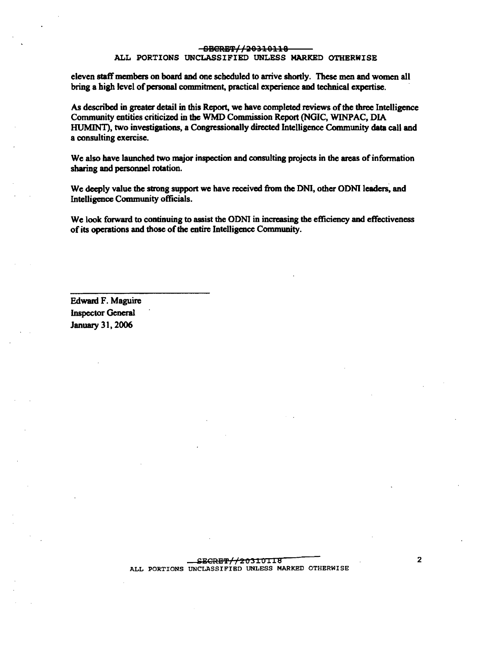#### -SBCRET//20310118 1

#### ALL PORTIONS UNCLASSIFIED UNLESS MARKED OTHERWISE

eleven staffmcmbers on board and one scheduled to arrive shortly. These men and women all bring a high level of personal commitment, practical experience and technical expertise.

As described in greater detail in this Report, we have completed reviews of the three Intelligence Community entities criticized in the WMD Commission Report (NGIC, WINPAC, DIA HUMINT), two investigations, a Congressionally directed Intelligence Community data call and a consulting exercise.

We also have launched two major inspection and consulting projects in the areas of information sharing and personnel rotation.

We deeply value the strong support we have received from the DNI, other ODNI leaders, and Intelligence Community officials.

We look forward to continuing to assist the ODNI in increasing the efficiency and effectiveness of its operations and those of the entire Intelligence Community.

Edward F. Maguire Inspector General January 31, 2006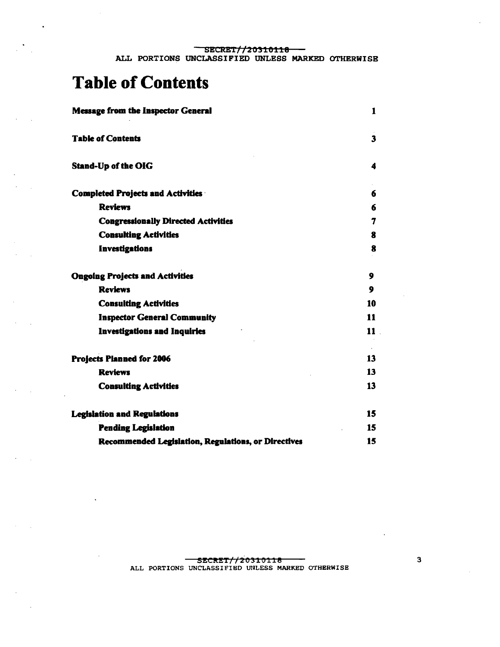# **Table of Contents**

| <b>Message from the Inspector General</b>           | 1                       |
|-----------------------------------------------------|-------------------------|
| <b>Table of Contents</b>                            | $\overline{\mathbf{3}}$ |
| <b>Stand-Up of the OIG</b>                          | 4                       |
| <b>Completed Projects and Activities ·</b>          | 6                       |
| <b>Reviews</b>                                      | 6                       |
| <b>Congressionally Directed Activities</b>          | 7                       |
| <b>Consulting Activities</b>                        | 8                       |
| Investigations                                      | 8                       |
| <b>Ongoing Projects and Activities</b>              | 9                       |
| <b>Reviews</b>                                      | 9                       |
| <b>Consulting Activities</b>                        | 10                      |
| <b>Inspector General Community</b>                  | 11                      |
| <b>Investigations and Inquiries</b>                 | $11$ .                  |
| <b>Projects Planned for 2006</b>                    | 13                      |
| <b>Reviews</b>                                      | 13                      |
| <b>Consulting Activities</b>                        | 13                      |
| <b>Legislation and Regulations</b>                  | 15                      |
| <b>Pending Legislation</b>                          | 15                      |
| Recommended Legislation, Regulations, or Directives | 15                      |

 $\overline{\mathbf{3}}$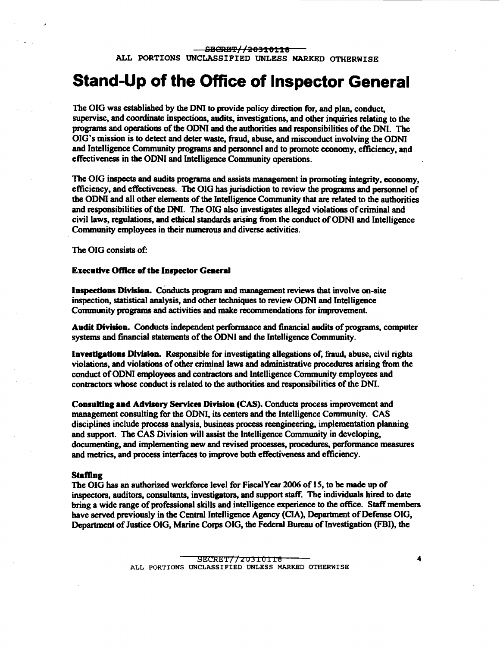## **Stand-Up of the** Office **of Inspector General**

The OIG was established by the DN! to provide policy direction for, and plan, conduct, supervise, and coordinate inspections, audits, investigations, and other inquiries relating to the programs and operations ofthe ODNI and the authorities and responsibilities ofthe DNI. The OIG's mission is to detect and deter waste, fraud, abuse, and misconduct involving the ODNI and Intelligence Community programs and personnel and to promote economy, efficiency, and effectiveness in the ODNI and Intelligence Community operations.

The OIG inspects and audits programs and assists management in promoting integrity, economy, efficiency, and effectiveness. The OIG has jurisdiction to review the programs and personnel of the ODNI and all other elements of the Intelligence Community that are related to the authorities and responsibilities of the DNI. The OIG also investigates alleged violations of criminal and civil laws, regulations, and ethical standards arising from the conduct ofODNJ and Intelligence Community employees in their numerous and diverse activities.

The OIG consists of:

#### Execudve OftIce of tbe Inspector General

Inspections Division. COnducts program and management reviews that involve on-site inspection, statistical analysis, and other techniques to review ODNI and Intelligence Community programs and activities and make recommendations for improvement.

Audit Division. Conducts independent performance and financial audits of programs, computer systems and financial statements of the ODNI and the Intelligence Community.

Investigations Division. Responsible for investigating allegations of, fraud, abuse, civil rights violations, and violations ofother criminal laws and administrative procedures arising from the conduct of ODNI employees and contractors and Intelligence Community employees and conttaetors whose conduct is related to the authorities and responsibilities ofthe DNI.

Consulting and Advisory Services Division (CAS). Conducts process improvement and management consulting for the ODNI, its centers and the Intelligence Community. CAS disciplines include process analysis, business process reengineering, implementation planning and support. The CAS Division will assist the Intelligence Community in developing, documenting, and implementing new and revised processes, procedures, performance measures and metrics, and process interfaces to improve both effectiveness and efficiency.

#### Staffing

The OIG has an authorized workforce level for FiscalYear 2006 of 15, to be made up of inspectors, auditors, consultants, investigators, and support staff. The individuals hired to date bring a wide range of professional skills and intelligence experience to the office. Staff members have served previously in the Central Intelligence Agency (CIA), Department of Defense OIG, Department of Justice OIG, Marine Corps OIG, the Federal Bureau of Investigation (FBI), the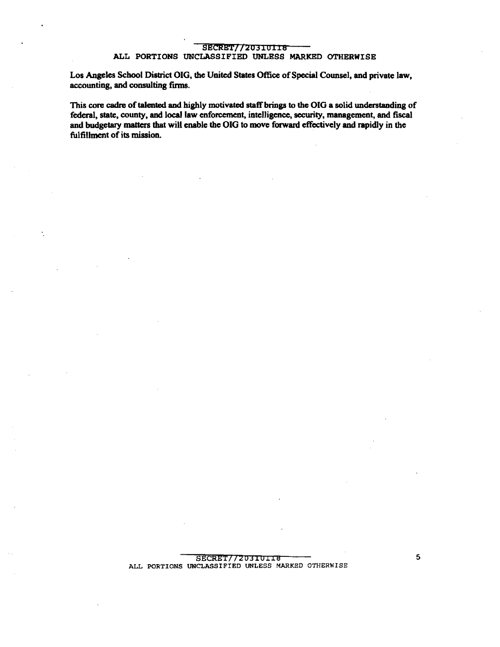#### SECRET//20310118 Í

#### ALL PORTIONS UNCLASSIFIED UNLESS MARKED OTHERWISE

Los Angeles School District OIG, the United States Office of Special Counsel, and private law, accounting, and consulting firms.

This core cadre of talented and highly motivated staff brings to the OIG a solid understanding of federal, state, county, and local law enforcement, intelligence, security, management, and fiscal and budgetary matters that will enable the OIG to move forward effectively and rapidly in the fulfillment of its mission.

> SECRET//20310118 ALL PORTIONS UNCLASSIFIED UNLESS MARKED OTHERWISE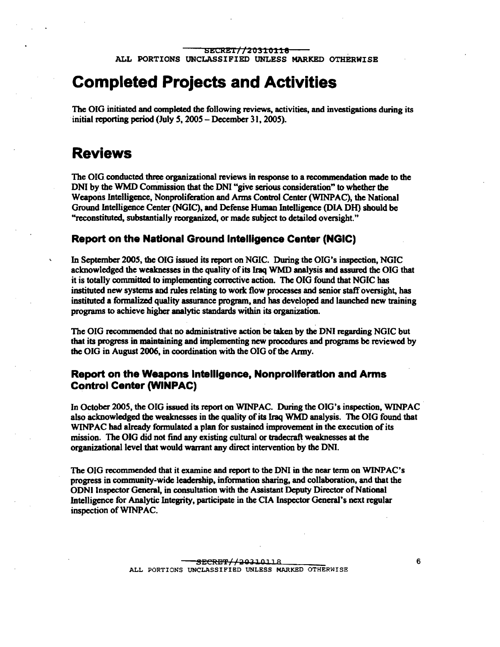### **Completed Projects and Activities**

The OIG initiated and completed the following reviews, activities, and investigations during its initial reporting period (July S, 200S - December 31, 200S).

### **Reviews**

The OIG. conducted three organizational reviews in response to a recommendation made to the DNI by the WMD Commission that the DNI "give serious consideration" to whether the Weapons Intelligence, Nonproliferation and Arms Control Center (WINPAC), the National Ground Intelligence Center (NGIC), and Defense Human Intelligence (DIA D1I) should be "reconstituted, substantially reorganized, or made subject to detailed oversight."

#### **Report on the National Ground Intelligence Center (NGIC)**

In September 2005. the OIG issued its report on NGIC. During the OIG's inspection, NGIC acknowledged the weaknesses in the quality of its Iraq WMD analysis and assured the OIG that it is totally committed to implementing corrective action. The OIG found that NGIC has instituted new systems and rules relating to work flow processes and senior staff oversight, has instituted a fonnalized quality assurance program, and has developed and launched new training programs to achieve higher analytic standards within its organization.

The OIG recommended that no administrative action be taken by the DNI regarding NGIC but that its progress in maintaining and implementing new procedures and programs be reviewed by the OIG in August 2006, in coordination with the OIG of the Army.

#### **Report on the Weapons Intelligence, Nonproliferation and Arms Control Center (WINPAC)**

In October 200S, the OIG issued its report on WINPAC. During the OIG's inspection, WINPAC also acknowledged the weaknesses in the quality ofits Iraq WMD analysis. The OIG found that WINPAC had already formulated a plan for sustained improvement in the execution of its mission. The OIG did not find any existing cultural or tradecraft weaknesses at the organizational level that would warrant any direct intervention by the DN!.

The OIG recommended that it examine and report to the ONI in the near tenn on WINPAC's progress in community-wide leadenhip, information sharing, and collaboration, and that the OONI Inspector General, in consultation with the Assistant Deputy Director ofNational Intelligence for Analytic Integrity, participate in the CIA Inspector General's next regular inspection of WINPAC.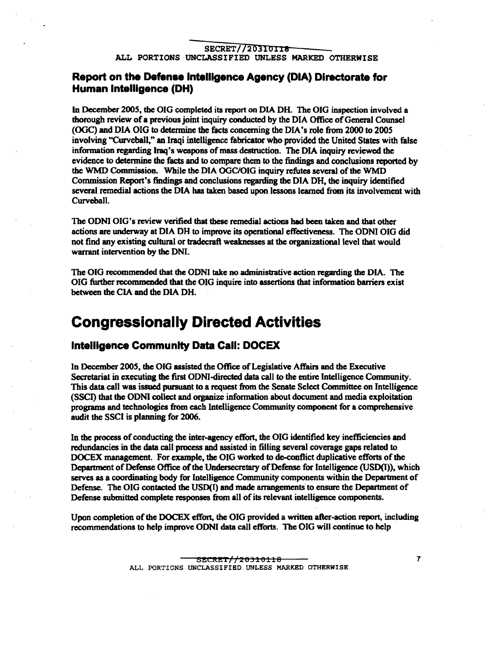### **Report on the Defense Intelligence Agency (DIA) Directorate for Human Intelligence (DH)**

In December 2005. the DIG completed its report on DIA DH. The DIG inspection involved a thorough review of a previous joint inquiry conducted by the DIA Office of General Counsel (OGC) and OIA OIG to detennine the facts concerning the DIA's role from 2000 to 2005 involving "Curveball." an Iraqi intelligence fabricator who provided the United States with false information regarding Iraq's weapons ofmass destruction. The OIA inquiry reviewed the evidence to determine the facts and to compare them to the findings and conclusions reported by the WMD Commission. While the DIA OGC/OIG inquiry refutes several of the WMD Commission Report's findings and conclusions regarding the OIA OH. the inquiry identified several remedial actions the DIA bas taken based upon lessons learned from its involvement with Curveball.

The ODNI DIG's review verified that these remedial actions bad been taken and that other actions are underway at OIA DH to improve its operational effectiveness. The OONI OIG did not find any existing cultural or tradecraft weaknesses at the organizational level that would warrant intervention by the ONI.

The OIG recommended that the DDNI take no administrative action regarding the DIA. The OIG further recommended that the OIG inquire into assertions that information barriers exist between the CIA and the DIA DH.

### **Congressionally Directed Activities**

#### **Intelligence Community Data Call: DOCEX**

In December 2005, the OIG assisted the Office of Legislative Affairs and the Executive Secretariat in executing the first ODNI-directed data call to the entire Intelligence Community. This data call was issued pursuant to a request from the Senate Select Committee on Intelligence (SSCI) that tbe OONI collect and organize infonnation about document and media exploitation programs and technologies from each Intelligence Community component for a comprehensive audit the SSCI is planning for 2006.

In the process of conducting the inter-agency effort, the OIG identified key inefficiencies and redundancies in the data call process and assisted in filling several coverage gaps related to DOCEX management. For example, the OIG worked to de-conflict duplicative efforts of the Department of Defense Office of the Undersecretary of Defense for Intelligence (USD(I)), which serves as a coordinating body for Intelligence Community components within the Department of Defense. The DIG contacted the USD(I) and made arrangements to ensure the Department of Defense submitted complete responses from all of its relevant intelligence components.

Upon completion of the DOCEX effort, the OIG provided a written after-action report, including recommendations to help improve ODNI data call efforts. The OIG will continue to help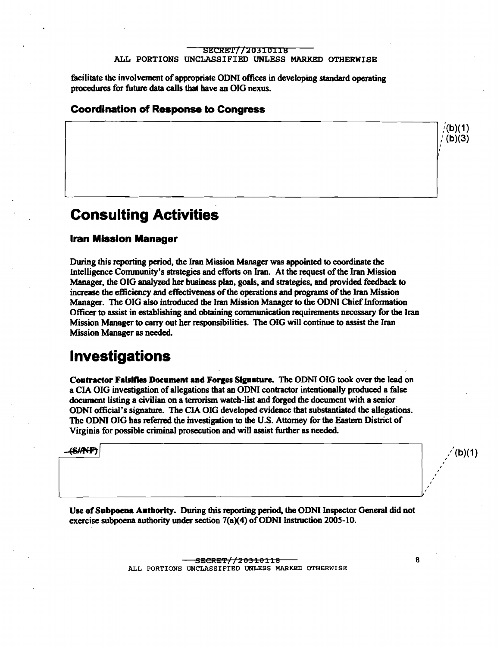facilitate the involvement of appropriate ODNI offices in developing standard operating procedures for future data calls that have an OIG nexus.

#### Coordination of Response to Congress

### Consulting Activities

#### Iran Mission Manager

During this reporting period, the Iran Mission Manager was appointed to coordinate the Intelligence Community's strategies and efforts on Iran. At the request of the Iran Mission Manager, the OIG analyzed her business plan, goals, and strategies, and provided feedback to increase the efficiency and effectiveness of the operations and programs of the Iran Mission Manager. The OIG also introduced the Iran Mission Manager to the ODNI Chief Information Officer to assist in establishing and obtaining communication requirements necessary for the Iran Mission Manager to carry out her responsibilities. The OIG will continue to assist the Iran Mission Manager as needed.

### Investigations

Contractor Falsifies Document and Forges Signature. The ODNI OIG took over the lead on a CIA OIG investigation of allegations that an ODNI contractor intentionally produced a false docwncnt listing a civilian on a terrorism watch-list and forged the document with a senior ODNI official's signature. The CIA OIG developed evidence that substantiated the allegations. The ODNI OIG has referred the investigation to the U.S. Attorney for the Eastern District of Virginia for possible criminal prosecution and will assist further as needed.

 $\overline{\text{(S/NFP)}}$  /(b)(1)

Vse of Subpoena Authority. During this reporting period, the OONI Inspector General did not exercise subpoena authority under section  $7(a)(4)$  of ODNI Instruction 2005-10.

> SECRET//20310118 8 ALL PORTIONS UNCLASSIFIED UNLESS MARKED OTHERWISE

, , , , , , , , ,

(b)(1)  $(b)(3)$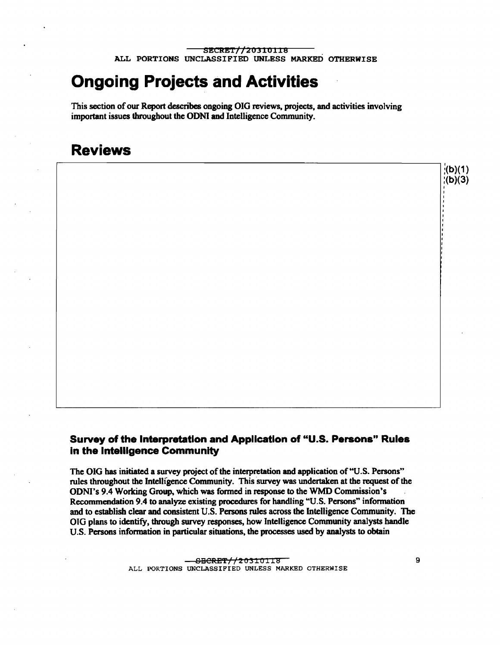## **Ongoing Projects and Activities**

This section of our Report describes ongoing OIG reviews, projects, and activities involving important issues throughout the ODNI and Intelligence Community.

### **Reviews**



The OIG has initiated a survey project of the interpretation and application of "U.S. Persons" rules throughout the Intelligence Community. This survey was undertaken at the request of the ODNl's 9.4 Working Group, which was formed in response to the WMD Commission's Recommendation 9.4 to analyze existing procedures for handling "U.S. Persons" information and to establish clear and consistent U.S. Persons rules across the Intelligence Community. The OIG plans to identify, through survey responses, how Intelligence Community analysts handle U.S. Persons infonnation in particular situations, the processes used by analysts to obtain

> ALL PORTIONS UNCLASSIFIED UNLESS MARKED OTHERWISE SBCRET//20310118

 $;$  (b)(1)  $($ b $)(3)$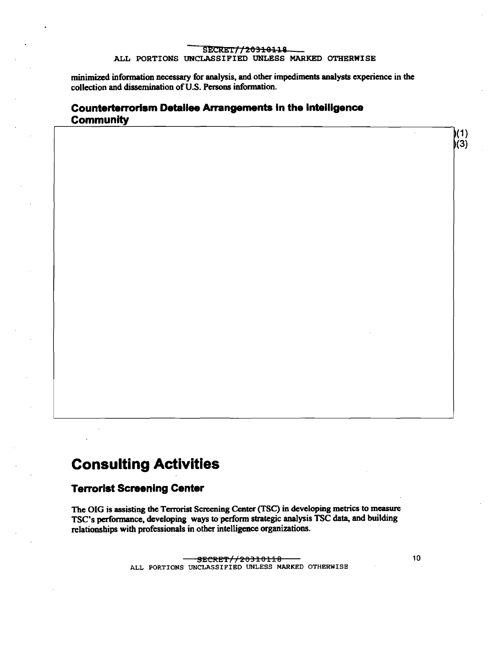minimized information necessary for analysis, and other impediments analysts experience in the collection and dissemination of U.S. Persons information.

### **Counterterrorism Detailee Arrangements in the Inteiligence Community**

### **Consulting Activities**

#### **Terrorist Screening Center**

The OIG is assisting the Terrorist Screening Center (TSC) in developing metrics to measure TSC's performance, developing ways to perform strategic analysis TSC data, and building relationships with professionals in other intelligence organizations.

> SECRET//20310118 ALL PORTIONS UNCLASSIFIED UNLESS MARKED OTHERWISE

10

 $)(1)$  $(3)$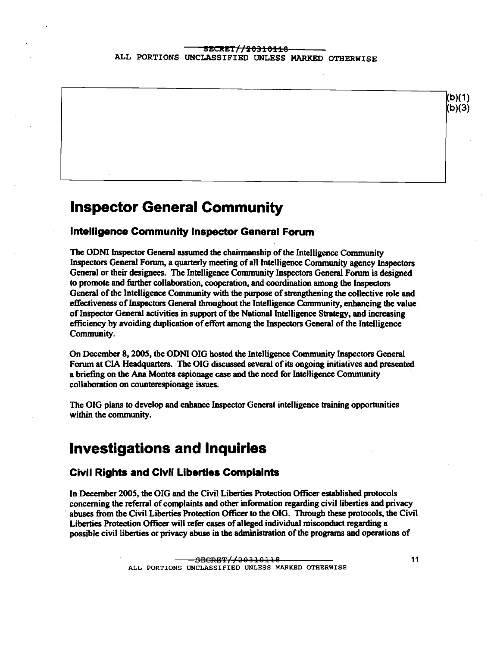

#### **Intelligence Community Inspector General Forum**

The ODNI Inspector General assumed the chairmanship of the Intelligence Community Inspectors General Forum, a quarterly meeting of all Intelligence Community agency Inspectors General or their designees. The Intelligence Community Inspectors General Forum is designed to promote and further collaboration, cooperation, and coordination among the Inspectors General of the Intelligence Community with the purpose of strengthening the collective role and effectiveness of Inspectors General throughout the Intelligence Community, enhancing the value of Inspector General activities in support of the National Intelligence Strategy, and increasing efficiency by avoiding duplication of effort among the Inspectors General of the Intelligence Community.

On December 8, 2005, the ODNI OIG hosted the Intelligence Community Inspectors General Forum at CIA Headquarters. The OIG discussed several of its ongoing initiatives and presented a briefmg on the Ana Montes espionage case and the need for Intelligence Community . collaboration on counterespionage issues.

The OIG plans to develop and enhance Inspector General intelligence training opportunities within the community.

### **Investigations and Inquiries**

#### **Civil Rights and Civil Liberties Complaints**

In December 2005, the OIG and the Civil Liberties Protection Officer established protocols concerning the referral of complaints and other information regarding civil liberties and privacy abuses from the Civil Liberties Protection Officer to the OIG. Through these protocols, the Civil Liberties Protection Officer will refer cases ofalleged individual misconduct regarding a possible civil liberties or privacy abuse in the administration of the programs and operations of

 $(b)(1)$  $(b)(3)$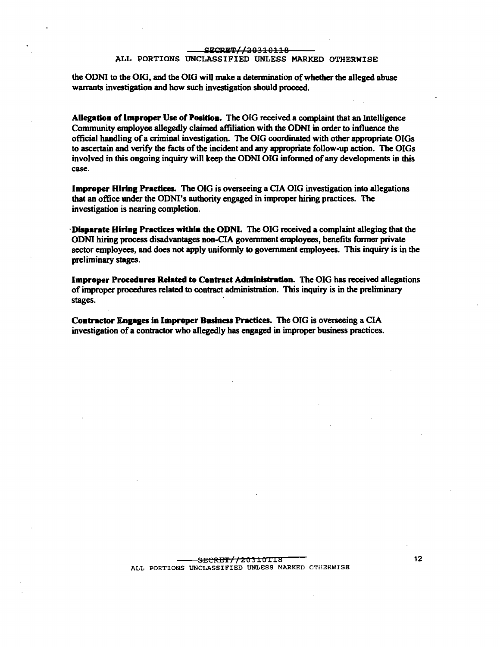the ODNI to the OIG, and the OIG will make a determination of whether the alleged abuse warrants investigation and how such investigation should proceed.

Allegation of Improper Use of Position. The OIG received a complaint that an Intelligence Community employee allegedly claimed affiliation with the ODNI in order to influence the official handling ofa criminal investigation. The OIG coordinated with other appropriate OIGs to ascertain and verify the facts of the incident and any appropriate follow-up action. The OIGs involved in this ongoing inquiry will keep the ODNI OIG informed of any developments in this case.

Improper HIring Practiees. The OIG is overseeing a CIA OIG investigation into allegations that an office under the ODNI's authority engaged in improper hiring practices. The investigation is nearing completion.

Disparate Hiring Practices within the ODNI. The OIG received a complaint alleging that the ODNI hiring process disadvantages non-CIA government employees, benefits fonner private sector employees, and does not apply uniformly to government employees. This inquiry is in the preliminary stages.

Improper Procedures Related to Contract Administration. The OIG has received allegations of improper procedures related to contract administration. This inquiry is in the preliminary stages.

Contractor Engages in Improper Business Practices. The OIG is overseeing a CIA investigation of a contractor who allegedly has engaged in improper business practices.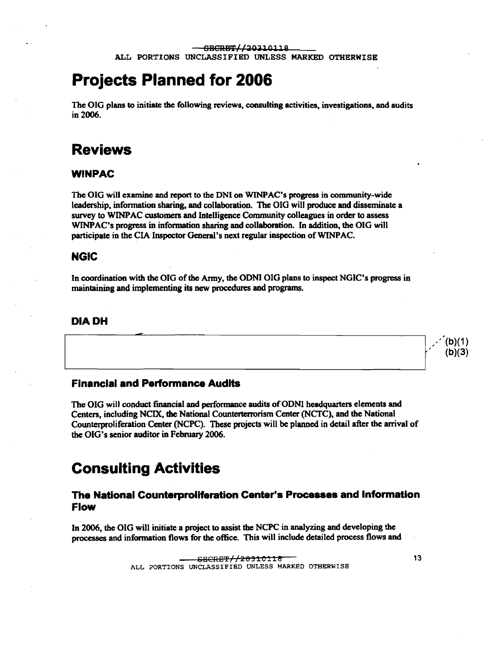## **Projects Planned for 2006**

The OIG plans to initiate the following reviews, consulting activities, investigations, and audits in 2006.

### **Reviews**

#### WINPAC

The OIG will examine and report to the DNI on WINPAC's progress in community-wide leadership, infonnation sharing, and collaboration. The OIG will produce and disseminate a survey to WINPAC customers and Intelligence Community colleagues in order to assess WINPAC's progress in infonnation sharing and collaboration. In addition, the OIG will participate in the CIA Inspector General's next regular inspection of WINPAC.

### **NGIC**

In coordination with the OIG of the Army, the ODNI OIG plans to inspect NGIC's progress in maintaining and implementing its new procedures and programs.

#### **DIADH**

#### **Financial and Performance Audits**

--

The OIG will conduct financial and performance audits of ODNI headquarters elements and Centers, including NCIX, the National Counterterrorism Center (NCfC), and the National Counterproliferation Center (NCPC). These projects will be planned in detail after the arrival of the OIG's senior auditor in February 2006.

---------------- ---.Jf

### **Consulting Activities**

### **The National Counterproliferation Center's Processes and Information Flow**

In 2006, the OIG will initiate a project to assist the NCPC in analyzing and developing the processes and infonnation flows for the office. This will include detailed process flows and

,"'(b)(1)  $(b)(3)$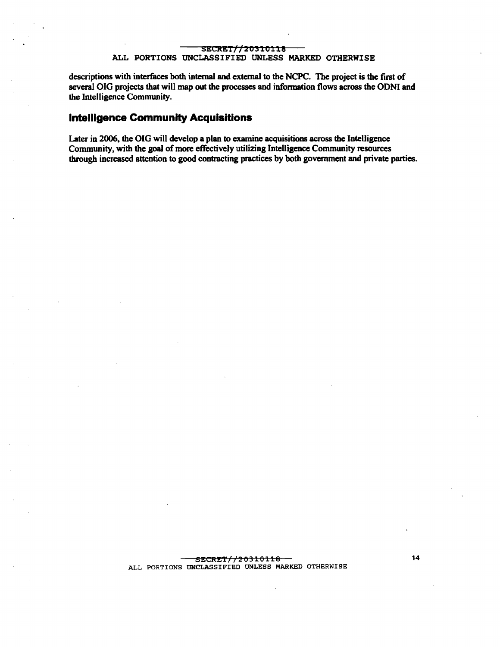descriptions with interfaces both internal and external to the NCPC. The project is the first of several OIG projects that will map out the processes and infonnation flows across the ODNI and the Intelligence Community.

#### **Intelligence Community Acquisitions**

Later in 2006. the OIG will develop a plan to examine acquisitions across the Intelligence Community, with the goal of more effectively utilizing Intelligence Community resources through increased attention to good contracting practices by both government and private parties.